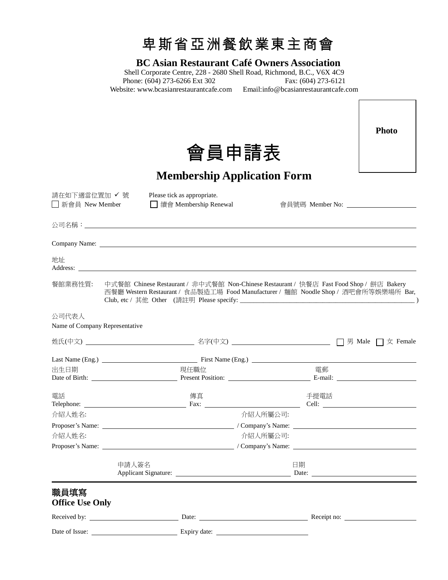

# **BC Asian Restaurant Café Owners Association**

Shell Corporate Centre, 228 - 2680 Shell Road, Richmond, B.C., V6X 4C9<br>Phone: (604) 273-6266 Ext 302 Fax: (604) 273-6121 Phone:  $(604)$  273-6266 Ext 302 Website: [www.bcasianrestaurantcafe.co](http://www.bcasianrestaurantcafe.c/)m Email:info@bcasianrestaurantcafe.com

 $\Gamma$ 

٦

|                                     |       |                                                                                                                                                                                |          |      |  | <b>Photo</b> |
|-------------------------------------|-------|--------------------------------------------------------------------------------------------------------------------------------------------------------------------------------|----------|------|--|--------------|
| 會員申請表                               |       |                                                                                                                                                                                |          |      |  |              |
| <b>Membership Application Form</b>  |       |                                                                                                                                                                                |          |      |  |              |
| 請在如下適當位置加 ✔ 號<br>│ │ 新會員 New Member |       | Please tick as appropriate.                                                                                                                                                    |          |      |  |              |
|                                     |       |                                                                                                                                                                                |          |      |  |              |
|                                     |       |                                                                                                                                                                                |          |      |  |              |
| 地址                                  |       |                                                                                                                                                                                |          |      |  |              |
| 餐館業務性質:                             |       | 中式餐館 Chinese Restaurant / 非中式餐館 Non-Chinese Restaurant / 快餐店 Fast Food Shop / 餅店 Bakery<br>西餐廳 Western Restaurant / 食品製造工場 Food Manufacturer / 麵館 Noodle Shop / 酒吧會所等娛樂場所 Bar, |          |      |  |              |
| 公司代表人                               |       |                                                                                                                                                                                |          |      |  |              |
| Name of Company Representative      |       |                                                                                                                                                                                |          |      |  |              |
|                                     |       |                                                                                                                                                                                |          |      |  |              |
|                                     |       |                                                                                                                                                                                |          |      |  |              |
| 出生日期                                |       | 現任職位                                                                                                                                                                           |          | 電郵   |  |              |
| 電話                                  |       | 傳真                                                                                                                                                                             |          | 手提電話 |  |              |
| 介紹人姓名:                              |       |                                                                                                                                                                                | 介紹人所屬公司: |      |  |              |
|                                     |       |                                                                                                                                                                                |          |      |  |              |
| 介紹人姓名:                              |       |                                                                                                                                                                                | 介紹人所屬公司: |      |  |              |
|                                     |       |                                                                                                                                                                                |          |      |  |              |
|                                     | 申請人簽名 |                                                                                                                                                                                |          | 日期   |  |              |
| 職員填寫<br><b>Office Use Only</b>      |       |                                                                                                                                                                                |          |      |  |              |
|                                     |       |                                                                                                                                                                                |          |      |  |              |
|                                     |       |                                                                                                                                                                                |          |      |  |              |